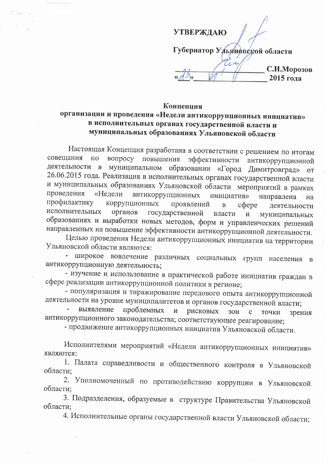**УТВЕРЖДАЮ** Губернатор Ульянфвской области С.И.Морозов 2015 года

## Концепция

## организации и проведения «Недели антикоррупционных инициатив» в исполнительных органах государственной власти и муниципальных образованиях Ульяновской области

Настоящая Концепция разработана в соответствии с решением по итогам вопросу повышения совещания  $\Pi$ O эффективности антикоррупционной деятельности в муниципальном образовании «Город Димитровград» **OT** 26.06.2015 года. Реализация в исполнительных органах государственной власти и муниципальных образованиях Ульяновской области мероприятий в рамках антикоррупционных проведения «Недели инициатив» направлена на профилактику коррупционных проявлений  $\, {\bf B}$ coepe деятельности исполнительных органов государственной власти  $\overline{M}$ муниципальных образованиях и выработки новых методов, форм и управленческих решений направленных на повышение эффективности антикоррупционной деятельности.

Целью проведения Недели антикоррупционных инициатив на территории Ульяновской области являются:

- широкое вовлечение различных социальных групп населения  $\mathbf{B}$ антикоррупционную деятельность;

- изучение и использование в практической работе инициатив граждан в сфере реализации антикоррупционной политики в регионе;

- популяризация и тиражирование передового опыта антикоррупционной деятельности на уровне муниципалитетов и органов государственной власти;

проблемных выявление рисковых  $\mathbf{M}$  $3OH$  $\mathbf{C}$ точки зрения антикоррупционного законодательства; соответствующее реагирование;

- продвижение антикоррупционных инициатив Ульяновской области.

Исполнителями мероприятий «Недели антикоррупционных инициатив» являются:

1. Палата справедливости и общественного контроля в Ульяновской области;

2. Уполномоченный по противодействию коррупции в Ульяновской области:

3. Подразделения, образуемые в структуре Правительства Ульяновской области;

4. Исполнительные органы государственной власти Ульяновской области;